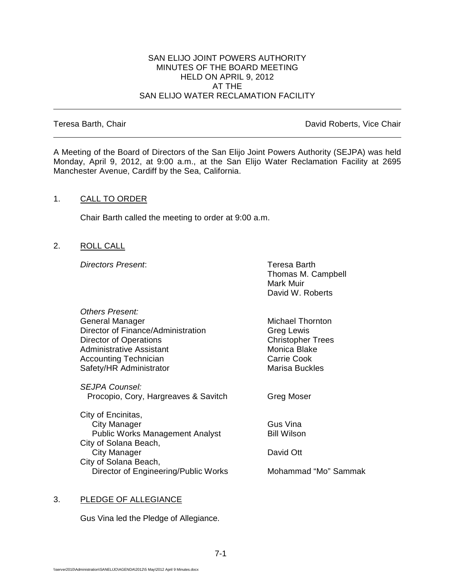#### SAN ELIJO JOINT POWERS AUTHORITY MINUTES OF THE BOARD MEETING HELD ON APRIL 9, 2012 AT THE SAN ELIJO WATER RECLAMATION FACILITY

Teresa Barth, Chair **David Roberts, Vice Chair David Roberts, Vice Chair** 

A Meeting of the Board of Directors of the San Elijo Joint Powers Authority (SEJPA) was held Monday, April 9, 2012, at 9:00 a.m., at the San Elijo Water Reclamation Facility at 2695 Manchester Avenue, Cardiff by the Sea, California.

## 1. CALL TO ORDER

Chair Barth called the meeting to order at 9:00 a.m.

2. ROLL CALL

**Directors Present:** Teresa Barth

Thomas M. Campbell Mark Muir David W. Roberts

| Others Present:                                        |                          |
|--------------------------------------------------------|--------------------------|
| General Manager                                        | Michael Thornton         |
| Director of Finance/Administration                     | Greg Lewis               |
| Director of Operations                                 | <b>Christopher Trees</b> |
| Administrative Assistant                               | Monica Blake             |
| <b>Accounting Technician</b>                           | Carrie Cook              |
| Safety/HR Administrator                                | Marisa Buckles           |
| SEJPA Counsel:<br>Procopio, Cory, Hargreaves & Savitch | Greg Moser               |
| City of Encinitas,                                     |                          |
| City Manager                                           | Gus Vina                 |
| <b>Public Works Management Analyst</b>                 | Bill Wilson              |
| City of Solana Beach,                                  |                          |
| City Manager                                           | David Ott                |
| City of Solana Beach,                                  |                          |
| Director of Engineering/Public Works                   | Mohammad "Mo" Sammak     |
|                                                        |                          |

#### 3. PLEDGE OF ALLEGIANCE

Gus Vina led the Pledge of Allegiance.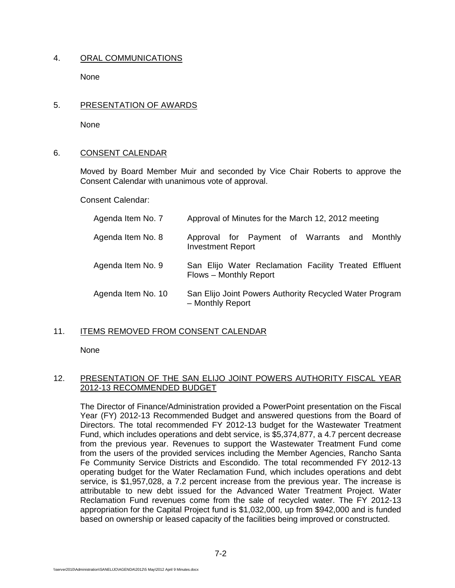## 4. ORAL COMMUNICATIONS

**None** 

## 5. PRESENTATION OF AWARDS

None

## 6. CONSENT CALENDAR

Moved by Board Member Muir and seconded by Vice Chair Roberts to approve the Consent Calendar with unanimous vote of approval.

Consent Calendar:

| Agenda Item No. 7  | Approval of Minutes for the March 12, 2012 meeting                              |
|--------------------|---------------------------------------------------------------------------------|
| Agenda Item No. 8  | Approval for Payment of Warrants and<br>Monthly<br><b>Investment Report</b>     |
| Agenda Item No. 9  | San Elijo Water Reclamation Facility Treated Effluent<br>Flows - Monthly Report |
| Agenda Item No. 10 | San Elijo Joint Powers Authority Recycled Water Program<br>- Monthly Report     |

#### 11. ITEMS REMOVED FROM CONSENT CALENDAR

None

## 12. PRESENTATION OF THE SAN ELIJO JOINT POWERS AUTHORITY FISCAL YEAR 2012-13 RECOMMENDED BUDGET

The Director of Finance/Administration provided a PowerPoint presentation on the Fiscal Year (FY) 2012-13 Recommended Budget and answered questions from the Board of Directors. The total recommended FY 2012-13 budget for the Wastewater Treatment Fund, which includes operations and debt service, is \$5,374,877, a 4.7 percent decrease from the previous year. Revenues to support the Wastewater Treatment Fund come from the users of the provided services including the Member Agencies, Rancho Santa Fe Community Service Districts and Escondido. The total recommended FY 2012-13 operating budget for the Water Reclamation Fund, which includes operations and debt service, is \$1,957,028, a 7.2 percent increase from the previous year. The increase is attributable to new debt issued for the Advanced Water Treatment Project. Water Reclamation Fund revenues come from the sale of recycled water. The FY 2012-13 appropriation for the Capital Project fund is \$1,032,000, up from \$942,000 and is funded based on ownership or leased capacity of the facilities being improved or constructed.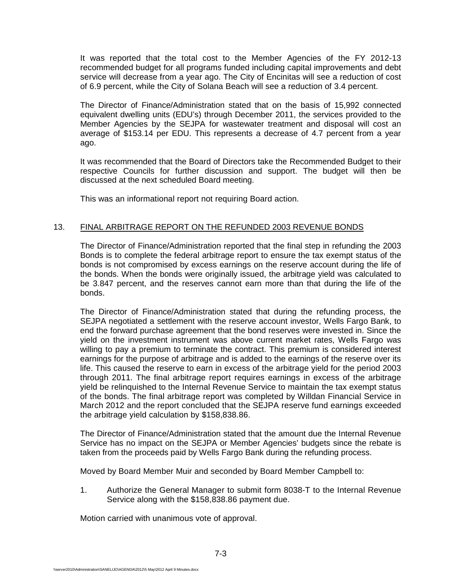It was reported that the total cost to the Member Agencies of the FY 2012-13 recommended budget for all programs funded including capital improvements and debt service will decrease from a year ago. The City of Encinitas will see a reduction of cost of 6.9 percent, while the City of Solana Beach will see a reduction of 3.4 percent.

The Director of Finance/Administration stated that on the basis of 15,992 connected equivalent dwelling units (EDU's) through December 2011, the services provided to the Member Agencies by the SEJPA for wastewater treatment and disposal will cost an average of \$153.14 per EDU. This represents a decrease of 4.7 percent from a year ago.

It was recommended that the Board of Directors take the Recommended Budget to their respective Councils for further discussion and support. The budget will then be discussed at the next scheduled Board meeting.

This was an informational report not requiring Board action.

## 13. FINAL ARBITRAGE REPORT ON THE REFUNDED 2003 REVENUE BONDS

The Director of Finance/Administration reported that the final step in refunding the 2003 Bonds is to complete the federal arbitrage report to ensure the tax exempt status of the bonds is not compromised by excess earnings on the reserve account during the life of the bonds. When the bonds were originally issued, the arbitrage yield was calculated to be 3.847 percent, and the reserves cannot earn more than that during the life of the bonds.

The Director of Finance/Administration stated that during the refunding process, the SEJPA negotiated a settlement with the reserve account investor, Wells Fargo Bank, to end the forward purchase agreement that the bond reserves were invested in. Since the yield on the investment instrument was above current market rates, Wells Fargo was willing to pay a premium to terminate the contract. This premium is considered interest earnings for the purpose of arbitrage and is added to the earnings of the reserve over its life. This caused the reserve to earn in excess of the arbitrage yield for the period 2003 through 2011. The final arbitrage report requires earnings in excess of the arbitrage yield be relinquished to the Internal Revenue Service to maintain the tax exempt status of the bonds. The final arbitrage report was completed by Willdan Financial Service in March 2012 and the report concluded that the SEJPA reserve fund earnings exceeded the arbitrage yield calculation by \$158,838.86.

The Director of Finance/Administration stated that the amount due the Internal Revenue Service has no impact on the SEJPA or Member Agencies' budgets since the rebate is taken from the proceeds paid by Wells Fargo Bank during the refunding process.

Moved by Board Member Muir and seconded by Board Member Campbell to:

1. Authorize the General Manager to submit form 8038-T to the Internal Revenue Service along with the \$158,838.86 payment due.

Motion carried with unanimous vote of approval.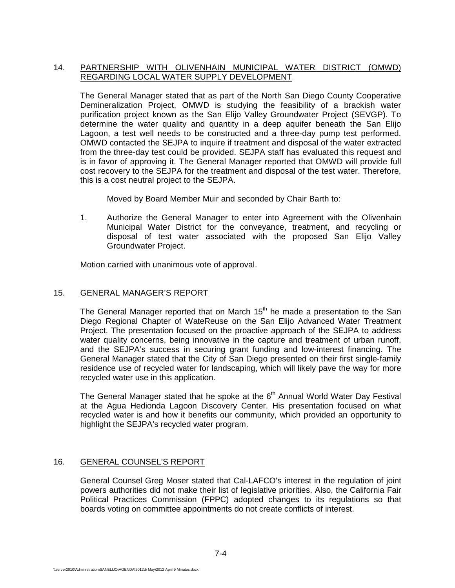# 14. PARTNERSHIP WITH OLIVENHAIN MUNICIPAL WATER DISTRICT (OMWD) REGARDING LOCAL WATER SUPPLY DEVELOPMENT

The General Manager stated that as part of the North San Diego County Cooperative Demineralization Project, OMWD is studying the feasibility of a brackish water purification project known as the San Elijo Valley Groundwater Project (SEVGP). To determine the water quality and quantity in a deep aquifer beneath the San Elijo Lagoon, a test well needs to be constructed and a three-day pump test performed. OMWD contacted the SEJPA to inquire if treatment and disposal of the water extracted from the three-day test could be provided. SEJPA staff has evaluated this request and is in favor of approving it. The General Manager reported that OMWD will provide full cost recovery to the SEJPA for the treatment and disposal of the test water. Therefore, this is a cost neutral project to the SEJPA.

Moved by Board Member Muir and seconded by Chair Barth to:

1. Authorize the General Manager to enter into Agreement with the Olivenhain Municipal Water District for the conveyance, treatment, and recycling or disposal of test water associated with the proposed San Elijo Valley Groundwater Project.

Motion carried with unanimous vote of approval.

## 15. GENERAL MANAGER'S REPORT

The General Manager reported that on March  $15<sup>th</sup>$  he made a presentation to the San Diego Regional Chapter of WateReuse on the San Elijo Advanced Water Treatment Project. The presentation focused on the proactive approach of the SEJPA to address water quality concerns, being innovative in the capture and treatment of urban runoff, and the SEJPA's success in securing grant funding and low-interest financing. The General Manager stated that the City of San Diego presented on their first single-family residence use of recycled water for landscaping, which will likely pave the way for more recycled water use in this application.

The General Manager stated that he spoke at the  $6<sup>th</sup>$  Annual World Water Day Festival at the Agua Hedionda Lagoon Discovery Center. His presentation focused on what recycled water is and how it benefits our community, which provided an opportunity to highlight the SEJPA's recycled water program.

#### 16. GENERAL COUNSEL'S REPORT

General Counsel Greg Moser stated that Cal-LAFCO's interest in the regulation of joint powers authorities did not make their list of legislative priorities. Also, the California Fair Political Practices Commission (FPPC) adopted changes to its regulations so that boards voting on committee appointments do not create conflicts of interest.